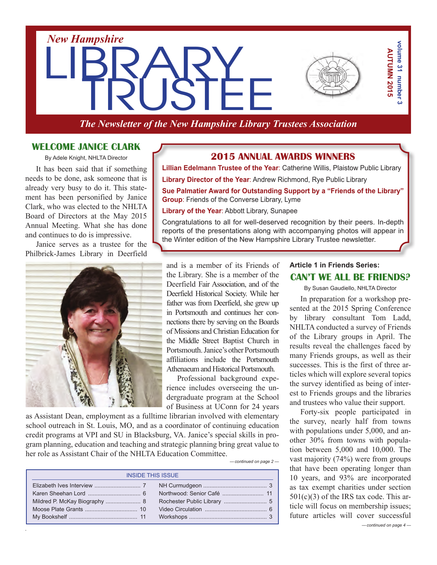

*The Newsletter of the New Hampshire Library Trustees Association*

## **Welcome Janice Clark**

By Adele Knight, NHLTA Director

It has been said that if something needs to be done, ask someone that is already very busy to do it. This statement has been personified by Janice Clark, who was elected to the NHLTA Board of Directors at the May 2015 Annual Meeting. What she has done and continues to do is impressive.

Janice serves as a trustee for the Philbrick-James Library in Deerfield



## **2015 Annual Awards Winners**

**Lillian Edelmann Trustee of the Year**: Catherine Willis, Plaistow Public Library

**Library Director of the Year**: Andrew Richmond, Rye Public Library

**Sue Palmatier Award for Outstanding Support by a "Friends of the Library" Group**: Friends of the Converse Library, Lyme

**Library of the Year**: Abbott Library, Sunapee

Congratulations to all for well-deserved recognition by their peers. In-depth reports of the presentations along with accompanying photos will appear in the Winter edition of the New Hampshire Library Trustee newsletter.

and is a member of its Friends of the Library. She is a member of the Deerfield Fair Association, and of the Deerfield Historical Society. While her father was from Deerfield, she grew up in Portsmouth and continues her connections there by serving on the Boards of Missions and Christian Education for the Middle Street Baptist Church in Portsmouth. Janice's other Portsmouth affiliations include the Portsmouth Athenaeumand Historical Portsmouth.

Professional background experience includes overseeing the undergraduate program at the School of Business at UConn for 24 years

as Assistant Dean, employment as a fulltime librarian involved with elementary school outreach in St. Louis, MO, and as a coordinator of continuing education credit programs at VPI and SU in Blacksburg, VA. Janice's special skills in program planning, education and teaching and strategic planning bring great value to her role as Assistant Chair of the NHLTA Education Committee.

*— continued on page 2 —*

| <b>INSIDE THIS ISSUE</b> |  |  |
|--------------------------|--|--|
|                          |  |  |
|                          |  |  |
|                          |  |  |
|                          |  |  |
|                          |  |  |

## **Article 1 in Friends Series: Can't We All Be Friends?**

By Susan Gaudiello, NHLTA Director

In preparation for a workshop presented at the 2015 Spring Conference by library consultant Tom Ladd, NHLTA conducted a survey of Friends of the Library groups in April. The results reveal the challenges faced by many Friends groups, as well as their successes. This is the first of three articles which will explore several topics the survey identified as being of interest to Friends groups and the libraries and trustees who value their support.

**Example 1**<br> **Example 2018**<br> **Example 2019**<br> **CONDISC EXECUTE 32**<br> **CONDISC EXECUTE 32**<br> **CONDISC 2019**<br> **CONDISC 2019**<br> **CONDISC 2019**<br> **CONDISC 2019**<br> **CONDISC 3**<br> **CONDISC 3**<br> **CONDISC 3**<br> **CONDISC 3**<br> **CONDISC 3**<br> **CON** Forty-six people participated in the survey, nearly half from towns with populations under 5,000, and another 30% from towns with population between 5,000 and 10,000. The vast majority (74%) were from groups that have been operating longer than 10 years, and 93% are incorporated as tax exempt charities under section  $501(c)(3)$  of the IRS tax code. This article will focus on membership issues; future articles will cover successful- continued on page 4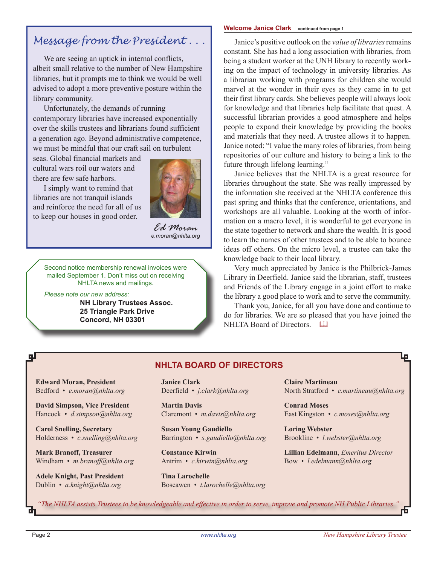# *Message from the President . . .*

We are seeing an uptick in internal conflicts, albeit small relative to the number of New Hampshire libraries, but it prompts me to think we would be well advised to adopt a more preventive posture within the library community.

Unfortunately, the demands of running contemporary libraries have increased exponentially over the skills trustees and librarians found sufficient a generation ago. Beyond administrative competence, we must be mindful that our craft sail on turbulent

seas. Global financial markets and cultural wars roil our waters and there are few safe harbors.

I simply want to remind that libraries are not tranquil islands and reinforce the need for all of us to keep our houses in good order.



*Ed Moran e.moran@nhlta.org*

Second notice membership renewal invoices were mailed September 1. Don't miss out on receiving NHLTA news and mailings.

 *Please note our new address:*

**NH Library Trustees Assoc. 25 Triangle Park Drive Concord, NH 03301**

#### **Welcome Janice Clark continued from page 1**

Janice's positive outlook on the *value of libraries*remains constant. She has had a long association with libraries, from being a student worker at the UNH library to recently working on the impact of technology in university libraries. As a librarian working with programs for children she would marvel at the wonder in their eyes as they came in to get their first library cards. She believes people will always look for knowledge and that libraries help facilitate that quest. A successful librarian provides a good atmosphere and helps people to expand their knowledge by providing the books and materials that they need. A trustee allows it to happen. Janice noted: "I value the many roles of libraries, from being repositories of our culture and history to being a link to the future through lifelong learning."

Janice believes that the NHLTA is a great resource for libraries throughout the state. She was really impressed by the information she received at the NHLTA conference this past spring and thinks that the conference, orientations, and workshops are all valuable. Looking at the worth of information on a macro level, it is wonderful to get everyone in the state together to network and share the wealth. It is good to learn the names of other trustees and to be able to bounce ideas off others. On the micro level, a trustee can take the knowledge back to their local library.

Very much appreciated by Janice is the Philbrick-James Library in Deerfield. Janice said the librarian, staff, trustees and Friends of the Library engage in a joint effort to make the library a good place to work and to serve the community.

Thank you, Janice, for all you have done and continue to do for libraries. We are so pleased that you have joined the NHI TA Board of Directors.

**Edward Moran, President** Bedford • *e.moran@nhlta.org* **David Simpson, Vice President** Hancock • *d.simpson@nhlta.org* **Carol Snelling, Secretary** Holderness • *c.snelling@nhlta.org* **Mark Branoff, Treasurer Janice Clark** Deerfield • *j.clark@nhlta.org* **Martin Davis** Claremont • *m.davis@nhlta.org* **Susan Young Gaudiello**

Windham • *m.branoff@nhlta.org*

**Adele Knight, Past President** Dublin • *a.knight@nhlta.org*

Barrington • *s.gaudiello@nhlta.org*

**NHLTA BOARD of directors**

**Constance Kirwin** Antrim • *c.kirwin@nhlta.org*

**Tina Larochelle** Boscawen • *t.larochelle@nhlta.org*

**Claire Martineau** North Stratford • *c.martineau@nhlta.org*

**Conrad Moses** East Kingston • *c.moses@nhlta.org*

**Loring Webster** Brookline • *l.webster@nhlta.org*

**Lillian Edelmann**, *Emeritus Director* Bow • *l.edelmann@nhlta.org*

*"The NHLTA assists Trustees to be knowledgeable and effective in order to serve, improve and promote NH Public Libraries."*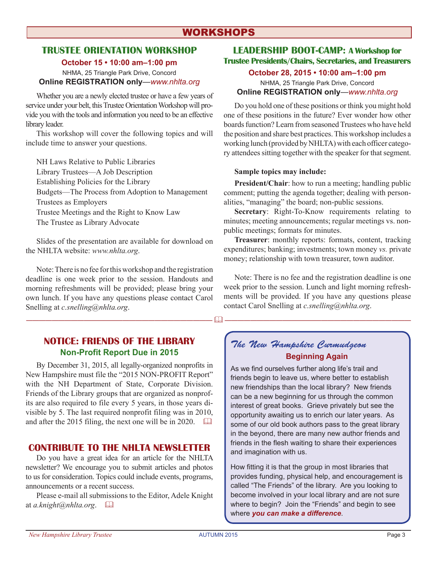## **WORKSHOPS**

## **Trustee Orientation Workshop**

**October 15 • 10:00 am–1:00 pm**

NHMA, 25 Triangle Park Drive, Concord **Online REGISTRATION only**—*www.nhlta.org*

Whether you are a newly elected trustee or have a few years of service under your belt, this Trustee Orientation Workshop will provide you with the tools and information you need to be an effective library leader.

This workshop will cover the following topics and will include time to answer your questions.

NH Laws Relative to Public Libraries Library Trustees—A Job Description Establishing Policies for the Library Budgets—The Process from Adoption to Management Trustees as Employers Trustee Meetings and the Right to Know Law The Trustee as Library Advocate

Slides of the presentation are available for download on the NHLTA website: *www.nhlta.org*.

Note:There is no fee forthisworkshop and the registration deadline is one week prior to the session. Handouts and morning refreshments will be provided; please bring your own lunch. If you have any questions please contact Carol Snelling at *c.snelling@nhlta.org*.

## **notice: FRIENDS OF THE LIBRARY Non-Profit Report Due in 2015**

By December 31, 2015, all legally-organized nonprofits in New Hampshire must file the "2015 NON-PROFIT Report" with the NH Department of State, Corporate Division. Friends of the Library groups that are organized as nonprofits are also required to file every 5 years, in those years divisible by 5. The last required nonprofit filing was in 2010, and after the 2015 filing, the next one will be in 2020.  $\Box$ 

## **CONTRIBUTE TO THE NHI TA NEWSI ETTER**

Do you have a great idea for an article for the NHLTA newsletter? We encourage you to submit articles and photos to us for consideration. Topics could include events, programs, announcements or a recent success.

Please e-mail all submissions to the Editor, Adele Knight at *a.knight@nhlta.org*. &

## **Leadership Boot-camp: A Workshop for Trustee Presidents/Chairs, Secretaries, and Treasurers**

#### **October 28, 2015 • 10:00 am–1:00 pm**

NHMA, 25 Triangle Park Drive, Concord **Online REGISTRATION only**—*www.nhlta.org*

Do you hold one of these positions or think you might hold one of these positions in the future? Ever wonder how other boards function? Learn from seasoned Trustees who have held the position and share best practices.This workshop includes a working lunch (provided by NHLTA) with each officer category attendees sitting together with the speaker for that segment.

#### **Sample topics may include:**

**President/Chair**: how to run a meeting; handling public comment; putting the agenda together; dealing with personalities, "managing" the board; non-public sessions.

**Secretary**: Right-To-Know requirements relating to minutes; meeting announcements; regular meetings vs. nonpublic meetings; formats for minutes.

**Treasurer**: monthly reports: formats, content, tracking expenditures; banking; investments; town money *vs.* private money; relationship with town treasurer, town auditor.

Note: There is no fee and the registration deadline is one week prior to the session. Lunch and light morning refreshments will be provided. If you have any questions please contact Carol Snelling at *c.snelling@nhlta.org*.

## *The New Hampshire Curmudgeon* **Beginning Again**

As we find ourselves further along life's trail and friends begin to leave us, where better to establish new friendships than the local library? New friends can be a new beginning for us through the common interest of great books. Grieve privately but see the opportunity awaiting us to enrich our later years. As some of our old book authors pass to the great library in the beyond, there are many new author friends and friends in the flesh waiting to share their experiences and imagination with us.

How fitting it is that the group in most libraries that provides funding, physical help, and encouragement is called "The Friends" of the library. Are you looking to become involved in your local library and are not sure where to begin? Join the "Friends" and begin to see where *you can make a difference*.

———————————————————— (<u>1)</u> ———————————————————————————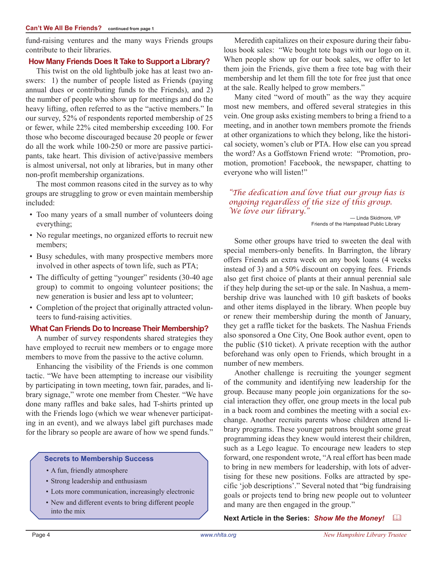fund-raising ventures and the many ways Friends groups contribute to their libraries.

## **How Many Friends Does It Take to Support a Library?**

This twist on the old lightbulb joke has at least two answers: 1) the number of people listed as Friends (paying annual dues or contributing funds to the Friends), and 2) the number of people who show up for meetings and do the heavy lifting, often referred to as the "active members." In our survey, 52% of respondents reported membership of 25 or fewer, while 22% cited membership exceeding 100. For those who become discouraged because 20 people or fewer do all the work while 100-250 or more are passive participants, take heart. This division of active/passive members is almost universal, not only at libraries, but in many other non-profit membership organizations.

The most common reasons cited in the survey as to why groups are struggling to grow or even maintain membership included:

- Too many years of a small number of volunteers doing everything;
- No regular meetings, no organized efforts to recruit new members;
- Busy schedules, with many prospective members more involved in other aspects of town life, such as PTA;
- The difficulty of getting "younger" residents (30-40 age group) to commit to ongoing volunteer positions; the new generation is busier and less apt to volunteer;
- Completion of the project that originally attracted volunteers to fund-raising activities.

## **What Can Friends Do to Increase Their Membership?**

A number of survey respondents shared strategies they have employed to recruit new members or to engage more members to move from the passive to the active column.

Enhancing the visibility of the Friends is one common tactic. "We have been attempting to increase our visibility by participating in town meeting, town fair, parades, and library signage," wrote one member from Chester. "We have done many raffles and bake sales, had T-shirts printed up with the Friends logo (which we wear whenever participating in an event), and we always label gift purchases made for the library so people are aware of how we spend funds."

#### **Secrets to Membership Success**

- • A fun, friendly atmosphere
- • Strong leadership and enthusiasm
- • Lots more communication, increasingly electronic
- New and different events to bring different people into the mix

Meredith capitalizes on their exposure during their fabulous book sales: "We bought tote bags with our logo on it. When people show up for our book sales, we offer to let them join the Friends, give them a free tote bag with their membership and let them fill the tote for free just that once at the sale. Really helped to grow members."

Many cited "word of mouth" as the way they acquire most new members, and offered several strategies in this vein. One group asks existing members to bring a friend to a meeting, and in another town members promote the friends at other organizations to which they belong, like the historical society, women's club or PTA. How else can you spread the word? As a Goffstown Friend wrote: "Promotion, promotion, promotion! Facebook, the newspaper, chatting to everyone who will listen!"

*"The dedication and love that our group has is ongoing regardless of the size of this group. We love our library."*

— Linda Skidmore, VP Friends of the Hampstead Public Library

Some other groups have tried to sweeten the deal with special members-only benefits. In Barrington, the library offers Friends an extra week on any book loans (4 weeks instead of 3) and a 50% discount on copying fees. Friends also get first choice of plants at their annual perennial sale if they help during the set-up or the sale. In Nashua, a membership drive was launched with 10 gift baskets of books and other items displayed in the library. When people buy or renew their membership during the month of January, they get a raffle ticket for the baskets. The Nashua Friends also sponsored a One City, One Book author event, open to the public (\$10 ticket). A private reception with the author beforehand was only open to Friends, which brought in a number of new members.

Another challenge is recruiting the younger segment of the community and identifying new leadership for the group. Because many people join organizations for the social interaction they offer, one group meets in the local pub in a back room and combines the meeting with a social exchange. Another recruits parents whose children attend library programs. These younger patrons brought some great programming ideas they knew would interest their children, such as a Lego league. To encourage new leaders to step forward, one respondent wrote, "A real effort has been made to bring in new members for leadership, with lots of advertising for these new positions. Folks are attracted by specific 'job descriptions'." Several noted that "big fundraising goals or projects tend to bring new people out to volunteer and many are then engaged in the group."

**Next Article in the Series:** *Show Me the Money!* &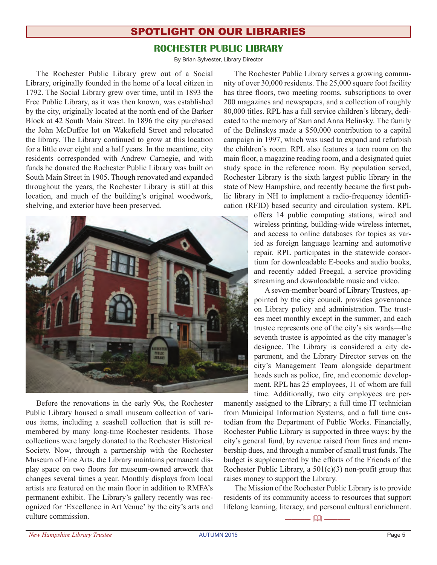## spotlight on our libraries

## **rochester public LIBRARY**

By Brian Sylvester, Library Director

The Rochester Public Library grew out of a Social Library, originally founded in the home of a local citizen in 1792. The Social Library grew over time, until in 1893 the Free Public Library, as it was then known, was established by the city, originally located at the north end of the Barker Block at 42 South Main Street. In 1896 the city purchased the John McDuffee lot on Wakefield Street and relocated the library. The Library continued to grow at this location for a little over eight and a half years. In the meantime, city residents corresponded with Andrew Carnegie, and with funds he donated the Rochester Public Library was built on South Main Street in 1905. Though renovated and expanded throughout the years, the Rochester Library is still at this location, and much of the building's original woodwork, shelving, and exterior have been preserved.



Before the renovations in the early 90s, the Rochester Public Library housed a small museum collection of various items, including a seashell collection that is still remembered by many long-time Rochester residents. Those collections were largely donated to the Rochester Historical Society. Now, through a partnership with the Rochester Museum of Fine Arts, the Library maintains permanent display space on two floors for museum-owned artwork that changes several times a year. Monthly displays from local artists are featured on the main floor in addition to RMFA's permanent exhibit. The Library's gallery recently was recognized for 'Excellence in Art Venue' by the city's arts and culture commission.

The Rochester Public Library serves a growing community of over 30,000 residents. The 25,000 square foot facility has three floors, two meeting rooms, subscriptions to over 200 magazines and newspapers, and a collection of roughly 80,000 titles. RPL has a full service children's library, dedicated to the memory of Sam and Anna Belinsky. The family of the Belinskys made a \$50,000 contribution to a capital campaign in 1997, which was used to expand and refurbish the children's room. RPL also features a teen room on the main floor, a magazine reading room, and a designated quiet study space in the reference room. By population served, Rochester Library is the sixth largest public library in the state of New Hampshire, and recently became the first public library in NH to implement a radio-frequency identification (RFID) based security and circulation system. RPL

> offers 14 public computing stations, wired and wireless printing, building-wide wireless internet, and access to online databases for topics as varied as foreign language learning and automotive repair. RPL participates in the statewide consortium for downloadable E-books and audio books, and recently added Freegal, a service providing streaming and downloadable music and video.

> Aseven-member board of Library Trustees, appointed by the city council, provides governance on Library policy and administration. The trustees meet monthly except in the summer, and each trustee represents one of the city's six wards—the seventh trustee is appointed as the city manager's designee. The Library is considered a city department, and the Library Director serves on the city's Management Team alongside department heads such as police, fire, and economic development. RPL has 25 employees, 11 of whom are full time. Additionally, two city employees are per-

manently assigned to the Library; a full time IT technician from Municipal Information Systems, and a full time custodian from the Department of Public Works. Financially, Rochester Public Library is supported in three ways: by the city's general fund, by revenue raised from fines and membership dues, and through a number of small trust funds. The budget is supplemented by the efforts of the Friends of the Rochester Public Library, a  $501(c)(3)$  non-profit group that raises money to support the Library.

The Mission of the Rochester Public Library isto provide residents of its community access to resources that support lifelong learning, literacy, and personal cultural enrichment.

———— & ————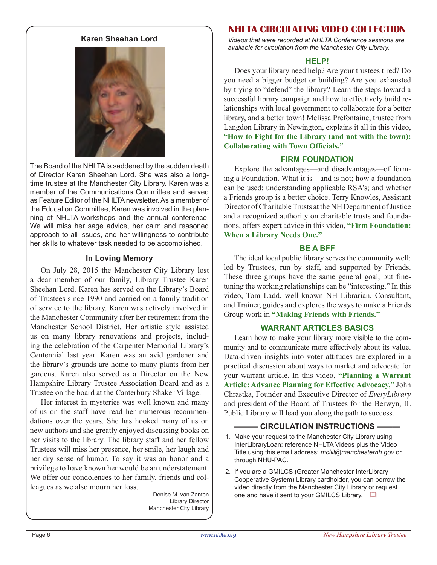#### **Karen Sheehan Lord**



The Board of the NHLTA is saddened by the sudden death of Director Karen Sheehan Lord. She was also a longtime trustee at the Manchester City Library. Karen was a member of the Communications Committee and served as Feature Editor of the NHLTA newsletter. As a member of the Education Committee, Karen was involved in the planning of NHLTA workshops and the annual conference. We will miss her sage advice, her calm and reasoned approach to all issues, and her willingness to contribute her skills to whatever task needed to be accomplished.

#### **In Loving Memory**

On July 28, 2015 the Manchester City Library lost a dear member of our family, Library Trustee Karen Sheehan Lord. Karen has served on the Library's Board of Trustees since 1990 and carried on a family tradition of service to the library. Karen was actively involved in the Manchester Community after her retirement from the Manchester School District. Her artistic style assisted us on many library renovations and projects, including the celebration of the Carpenter Memorial Library's Centennial last year. Karen was an avid gardener and the library's grounds are home to many plants from her gardens. Karen also served as a Director on the New Hampshire Library Trustee Association Board and as a Trustee on the board at the Canterbury Shaker Village.

Her interest in mysteries was well known and many of us on the staff have read her numerous recommendations over the years. She has hooked many of us on new authors and she greatly enjoyed discussing books on her visits to the library. The library staff and her fellow Trustees will miss her presence, her smile, her laugh and her dry sense of humor. To say it was an honor and a privilege to have known her would be an understatement. We offer our condolences to her family, friends and colleagues as we also mourn her loss.

— Denise M. van Zanten Library Director Manchester City Library

#### **NHLTA circulating VIDEO COLLECTION**

*Videos that were recorded at NHLTA Conference sessions are available for circulation from the Manchester City Library.*

#### **HELP!**

Does your library need help? Are your trustees tired? Do you need a bigger budget or building? Are you exhausted by trying to "defend" the library? Learn the steps toward a successful library campaign and how to effectively build relationships with local government to collaborate for a better library, and a better town! Melissa Prefontaine, trustee from Langdon Library in Newington, explains it all in this video, **"How to Fight for the Library (and not with the town): Collaborating with Town Officials."**

#### **FIRM FOUNDATION**

Explore the advantages—and disadvantages—of forming a Foundation. What it is—and is not; how a foundation can be used; understanding applicable RSA's; and whether a Friends group is a better choice. Terry Knowles, Assistant Director of Charitable Trusts at the NH Department of Justice and a recognized authority on charitable trusts and foundations, offers expert advice in this video, **"Firm Foundation: When a Library Needs One."** 

#### **BE A BFF**

The ideal local public library serves the community well: led by Trustees, run by staff, and supported by Friends. These three groups have the same general goal, but finetuning the working relationships can be "interesting." In this video, Tom Ladd, well known NH Librarian, Consultant, and Trainer, guides and explores the ways to make a Friends Group work in **"Making Friends with Friends."**

#### **WARRANT ARTICLES BASICS**

Learn how to make your library more visible to the community and to communicate more effectively about its value. Data-driven insights into voter attitudes are explored in a practical discussion about ways to market and advocate for your warrant article. In this video, **"Planning a Warrant Article: Advance Planning for Effective Advocacy,"** John Chrastka, Founder and Executive Director of *EveryLibrary* and president of the Board of Trustees for the Berwyn, IL Public Library will lead you along the path to success.

#### **- CIRCULATION INSTRUCTIONS -**

- 1. Make your request to the Manchester City Library using InterLibraryLoan; reference NHLTA Videos plus the Video Title using this email address: *mclill@manchesternh.gov* or through NHU-PAC.
- 2. If you are a GMILCS (Greater Manchester InterLibrary Cooperative System) Library cardholder, you can borrow the video directly from the Manchester City Library or request one and have it sent to your GMILCS Library.  $\square$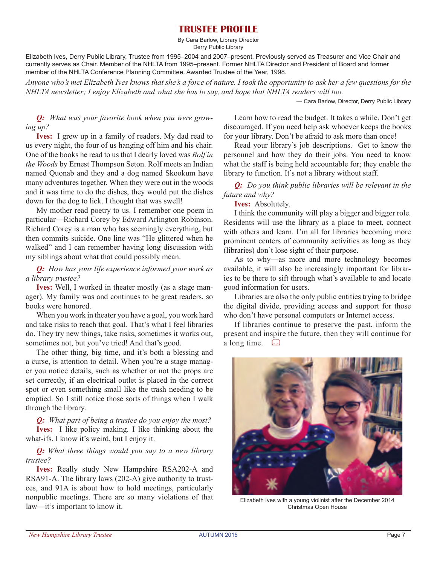## **Trustee Profile**

By Cara Barlow, Library Director Derry Public Library

Elizabeth Ives, Derry Public Library, Trustee from 1995–2004 and 2007–present. Previously served as Treasurer and Vice Chair and currently serves as Chair. Member of the NHLTA from 1995–present. Former NHLTA Director and President of Board and former member of the NHLTA Conference Planning Committee. Awarded Trustee of the Year, 1998.

*Anyone who's met Elizabeth Ives knows that she's a force of nature. I took the opportunity to ask her a few questions for the NHLTA newsletter; I enjoy Elizabeth and what she has to say, and hope that NHLTA readers will too.* 

— Cara Barlow, Director, Derry Public Library

*Q: What was your favorite book when you were growing up?*

**Ives:** I grew up in a family of readers. My dad read to us every night, the four of us hanging off him and his chair. One of the books he read to us that I dearly loved was *Rolf in the Woods* by Ernest Thompson Seton. Rolf meets an Indian named Quonab and they and a dog named Skookum have many adventures together. When they were out in the woods and it was time to do the dishes, they would put the dishes down for the dog to lick. I thought that was swell!

My mother read poetry to us. I remember one poem in particular—Richard Corey by Edward Arlington Robinson. Richard Corey is a man who has seemingly everything, but then commits suicide. One line was "He glittered when he walked" and I can remember having long discussion with my siblings about what that could possibly mean.

#### *Q: How has your life experience informed your work as a library trustee?*

**Ives:** Well, I worked in theater mostly (as a stage manager). My family was and continues to be great readers, so books were honored.

When you work in theater you have a goal, you work hard and take risks to reach that goal. That's what I feel libraries do. They try new things, take risks, sometimes it works out, sometimes not, but you've tried! And that's good.

The other thing, big time, and it's both a blessing and a curse, is attention to detail. When you're a stage manager you notice details, such as whether or not the props are set correctly, if an electrical outlet is placed in the correct spot or even something small like the trash needing to be emptied. So I still notice those sorts of things when I walk through the library.

*Q: What part of being a trustee do you enjoy the most?* **Ives:** I like policy making. I like thinking about the what-ifs. I know it's weird, but I enjoy it.

#### *Q: What three things would you say to a new library trustee?*

**Ives:** Really study New Hampshire RSA202-A and RSA91-A. The library laws (202-A) give authority to trustees, and 91A is about how to hold meetings, particularly nonpublic meetings. There are so many violations of that law—it's important to know it.

Learn how to read the budget. It takes a while. Don't get discouraged. If you need help ask whoever keeps the books for your library. Don't be afraid to ask more than once!

Read your library's job descriptions. Get to know the personnel and how they do their jobs. You need to know what the staff is being held accountable for; they enable the library to function. It's not a library without staff.

*Q: Do you think public libraries will be relevant in the future and why?*

#### **Ives:** Absolutely.

I think the community will play a bigger and bigger role. Residents will use the library as a place to meet, connect with others and learn. I'm all for libraries becoming more prominent centers of community activities as long as they (libraries) don't lose sight of their purpose.

As to why—as more and more technology becomes available, it will also be increasingly important for libraries to be there to sift through what's available to and locate good information for users.

Libraries are also the only public entities trying to bridge the digital divide, providing access and support for those who don't have personal computers or Internet access.

If libraries continue to preserve the past, inform the present and inspire the future, then they will continue for a long time.  $\Box$ 



Elizabeth Ives with a young violinist after the December 2014 Christmas Open House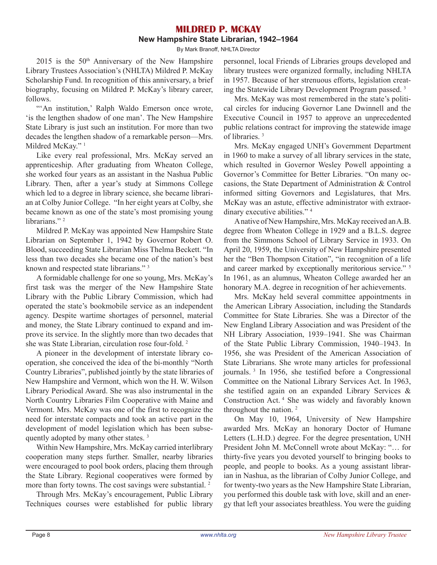### **MILDRED P. McKAY New Hampshire State Librarian, 1942–1964**

By Mark Branoff, NHLTA Director

 $2015$  is the  $50<sup>th</sup>$  Anniversary of the New Hampshire Library Trustees Association's (NHLTA) Mildred P. McKay Scholarship Fund. In recognition of this anniversary, a brief biography, focusing on Mildred P. McKay's library career, follows.

"'An institution,' Ralph Waldo Emerson once wrote, 'is the lengthen shadow of one man'. The New Hampshire State Library is just such an institution. For more than two decades the lengthen shadow of a remarkable person—Mrs. Mildred McKay."<sup>1</sup>

Like every real professional, Mrs. McKay served an apprenticeship. After graduating from Wheaton College, she worked four years as an assistant in the Nashua Public Library. Then, after a year's study at Simmons College which led to a degree in library science, she became librarian at Colby Junior College. "In her eight years at Colby, she became known as one of the state's most promising young librarians."<sup>2</sup>

Mildred P. McKay was appointed New Hampshire State Librarian on September 1, 1942 by Governor Robert O. Blood, succeeding State Librarian Miss Thelma Beckett. "In less than two decades she became one of the nation's best known and respected state librarians." <sup>3</sup>

A formidable challenge for one so young, Mrs. McKay's first task was the merger of the New Hampshire State Library with the Public Library Commission, which had operated the state's bookmobile service as an independent agency. Despite wartime shortages of personnel, material and money, the State Library continued to expand and improve its service. In the slightly more than two decades that she was State Librarian, circulation rose four-fold. <sup>2</sup>

A pioneer in the development of interstate library cooperation, she conceived the idea of the bi-monthly "North Country Libraries", published jointly by the state libraries of New Hampshire and Vermont, which won the H. W. Wilson Library Periodical Award. She was also instrumental in the North Country Libraries Film Cooperative with Maine and Vermont. Mrs. McKay was one of the first to recognize the need for interstate compacts and took an active part in the development of model legislation which has been subsequently adopted by many other states. <sup>3</sup>

Within New Hampshire, Mrs. McKay carried interlibrary cooperation many steps further. Smaller, nearby libraries were encouraged to pool book orders, placing them through the State Library. Regional cooperatives were formed by more than forty towns. The cost savings were substantial.<sup>2</sup>

Through Mrs. McKay's encouragement, Public Library Techniques courses were established for public library

personnel, local Friends of Libraries groups developed and library trustees were organized formally, including NHLTA in 1957. Because of her strenuous efforts, legislation creating the Statewide Library Development Program passed. <sup>3</sup>

Mrs. McKay was most remembered in the state's political circles for inducing Governor Lane Dwinnell and the Executive Council in 1957 to approve an unprecedented public relations contract for improving the statewide image of libraries. <sup>3</sup>

Mrs. McKay engaged UNH's Government Department in 1960 to make a survey of all library services in the state, which resulted in Governor Wesley Powell appointing a Governor's Committee for Better Libraries. "On many occasions, the State Department of Administration & Control informed sitting Governors and Legislatures, that Mrs. McKay was an astute, effective administrator with extraordinary executive abilities."<sup>4</sup>

Anative of New Hampshire, Mrs. McKay received anA.B. degree from Wheaton College in 1929 and a B.L.S. degree from the Simmons School of Library Service in 1933. On April 20, 1959, the University of New Hampshire presented her the "Ben Thompson Citation", "in recognition of a life and career marked by exceptionally meritorious service." <sup>5</sup> In 1961, as an alumnus, Wheaton College awarded her an honorary M.A. degree in recognition of her achievements.

Mrs. McKay held several committee appointments in the American Library Association, including the Standards Committee for State Libraries. She was a Director of the New England Library Association and was President of the NH Library Association, 1939–1941. She was Chairman of the State Public Library Commission, 1940–1943. In 1956, she was President of the American Association of State Librarians. She wrote many articles for professional journals. <sup>3</sup> In 1956, she testified before a Congressional Committee on the National Library Services Act. In 1963, she testified again on an expanded Library Services & Construction Act. <sup>4</sup> She was widely and favorably known throughout the nation.<sup>2</sup>

On May 10, 1964, University of New Hampshire awarded Mrs. McKay an honorary Doctor of Humane Letters (L.H.D.) degree. For the degree presentation, UNH President John M. McConnell wrote about McKay: "… for thirty-five years you devoted yourself to bringing books to people, and people to books. As a young assistant librarian in Nashua, as the librarian of Colby Junior College, and for twenty-two years as the New Hampshire State Librarian, you performed this double task with love, skill and an energy that left your associates breathless. You were the guiding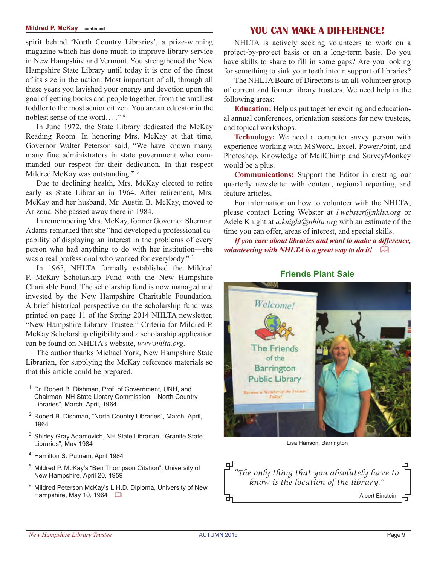spirit behind 'North Country Libraries', a prize-winning magazine which has done much to improve library service in New Hampshire and Vermont. You strengthened the New Hampshire State Library until today it is one of the finest of its size in the nation. Most important of all, through all these years you lavished your energy and devotion upon the goal of getting books and people together, from the smallest toddler to the most senior citizen. You are an educator in the noblest sense of the word… ." <sup>6</sup>

In June 1972, the State Library dedicated the McKay Reading Room. In honoring Mrs. McKay at that time, Governor Walter Peterson said, "We have known many, many fine administrators in state government who commanded our respect for their dedication. In that respect Mildred McKay was outstanding."<sup>3</sup>

Due to declining health, Mrs. McKay elected to retire early as State Librarian in 1964. After retirement, Mrs. McKay and her husband, Mr. Austin B. McKay, moved to Arizona. She passed away there in 1984.

In remembering Mrs. McKay, former Governor Sherman Adams remarked that she "had developed a professional capability of displaying an interest in the problems of every person who had anything to do with her institution—she was a real professional who worked for everybody."<sup>3</sup>

In 1965, NHLTA formally established the Mildred P. McKay Scholarship Fund with the New Hampshire Charitable Fund. The scholarship fund is now managed and invested by the New Hampshire Charitable Foundation. A brief historical perspective on the scholarship fund was printed on page 11 of the Spring 2014 NHLTA newsletter, "New Hampshire Library Trustee." Criteria for Mildred P. McKay Scholarship eligibility and a scholarship application can be found on NHLTA's website, *www.nhlta.org*.

The author thanks Michael York, New Hampshire State Librarian, for supplying the McKay reference materials so that this article could be prepared.

- <sup>1</sup> Dr. Robert B. Dishman, Prof. of Government, UNH, and Chairman, NH State Library Commission, "North Country Libraries", March–April, 1964
- <sup>2</sup> Robert B. Dishman, "North Country Libraries", March–April, 1964
- <sup>3</sup> Shirley Gray Adamovich, NH State Librarian, "Granite State Libraries", May 1984
- <sup>4</sup> Hamilton S. Putnam, April 1984
- <sup>5</sup> Mildred P. McKay's "Ben Thompson Citation", University of New Hampshire, April 20, 1959
- <sup>6</sup> Mildred Peterson McKay's L.H.D. Diploma, University of New Hampshire, May 10, 1964

## **Mildred P. McKay continued You Can Make a Difference!**

NHLTA is actively seeking volunteers to work on a project-by-project basis or on a long-term basis. Do you have skills to share to fill in some gaps? Are you looking for something to sink your teeth into in support of libraries?

The NHLTA Board of Directors is an all-volunteer group of current and former library trustees. We need help in the following areas:

**Education:** Help us put together exciting and educational annual conferences, orientation sessions for new trustees, and topical workshops.

**Technology:** We need a computer savvy person with experience working with MSWord, Excel, PowerPoint, and Photoshop. Knowledge of MailChimp and SurveyMonkey would be a plus.

**Communications:** Support the Editor in creating our quarterly newsletter with content, regional reporting, and feature articles.

For information on how to volunteer with the NHLTA, please contact Loring Webster at *l.webster@nhlta.org* or Adele Knight at *a.knight@nhlta.org* with an estimate of the time you can offer, areas of interest, and special skills.

*If you care about libraries and want to make a difference, volunteering with NHLTA is a great way to do it!* 

**Friends Plant Sale**

![](_page_8_Picture_21.jpeg)

Lisa Hanson, Barrington

![](_page_8_Picture_23.jpeg)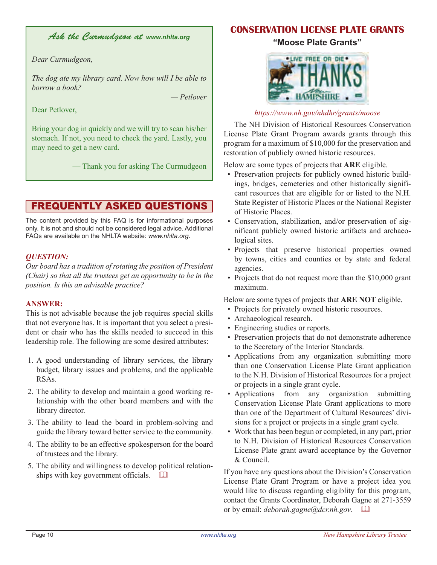## *Ask the Curmudgeon at www.nhlta.org*

#### *Dear Curmudgeon,*

*The dog ate my library card. Now how will I be able to borrow a book?*

*— Petlover*

Dear Petlover,

Bring your dog in quickly and we will try to scan his/her stomach. If not, you need to check the yard. Lastly, you may need to get a new card.

— Thank you for asking The Curmudgeon

## frequently asked questions

The content provided by this FAQ is for informational purposes only. It is not and should not be considered legal advice. Additional FAQs are available on the NHLTA website: *www.nhlta.org*.

#### *QUESTION:*

*Our board has a tradition of rotating the position of President (Chair) so that all the trustees get an opportunity to be in the position. Is this an advisable practice?* 

#### **ANSWER:**

This is not advisable because the job requires special skills that not everyone has. It is important that you select a president or chair who has the skills needed to succeed in this leadership role. The following are some desired attributes:

- 1. A good understanding of library services, the library budget, library issues and problems, and the applicable RSAs.
- 2. The ability to develop and maintain a good working relationship with the other board members and with the library director.
- 3. The ability to lead the board in problem-solving and guide the library toward better service to the community.
- 4. The ability to be an effective spokesperson for the board of trustees and the library.
- 5. The ability and willingness to develop political relationships with key government officials.  $\square$

## **CONSERVATION LICENSE PLATE GRANTS**

#### **"Moose Plate Grants"**

![](_page_9_Picture_20.jpeg)

## *https://www.nh.gov/nhdhr/grants/moose*

The NH Division of Historical Resources Conservation License Plate Grant Program awards grants through this program for a maximum of \$10,000 for the preservation and restoration of publicly owned historic resources.

Below are some types of projects that **ARE** eligible.

- Preservation projects for publicly owned historic buildings, bridges, cemeteries and other historically significant resources that are eligible for or listed to the N.H. State Register of Historic Places or the National Register of Historic Places.
- Conservation, stabilization, and/or preservation of significant publicly owned historic artifacts and archaeological sites.
- Projects that preserve historical properties owned by towns, cities and counties or by state and federal agencies.
- Projects that do not request more than the \$10,000 grant maximum.

Below are some types of projects that **ARE NOT** eligible.

- Projects for privately owned historic resources.
- Archaeological research.
- Engineering studies or reports.
- Preservation projects that do not demonstrate adherence to the Secretary of the Interior Standards.
- Applications from any organization submitting more than one Conservation License Plate Grant application to the N.H. Division of Historical Resources for a project or projects in a single grant cycle.
- Applications from any organization submitting Conservation License Plate Grant applications to more than one of the Department of Cultural Resources' divisions for a project or projects in a single grant cycle.
- Work that has been begun or completed, in any part, prior to N.H. Division of Historical Resources Conservation License Plate grant award acceptance by the Governor & Council.

If you have any questions about the Division's Conservation License Plate Grant Program or have a project idea you would like to discuss regarding eligiblity for this program, contact the Grants Coordinator, Deborah Gagne at 271-3559 or by email: *deborah.gagne@dcr.nh.gov.*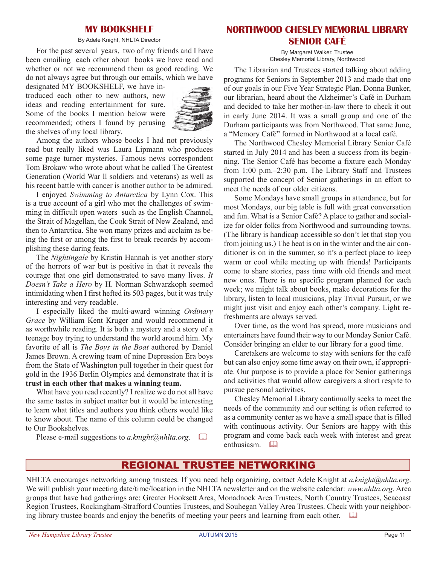### **My Bookshelf**

#### By Adele Knight, NHLTA Director

For the past several years, two of my friends and I have been emailing each other about books we have read and whether or not we recommend them as good reading. We do not always agree but through our emails, which we have

designated MY BOOKSHELF, we have introduced each other to new authors, new ideas and reading entertainment for sure. Some of the books I mention below were recommended; others I found by perusing the shelves of my local library.

![](_page_10_Picture_4.jpeg)

Among the authors whose books I had not previously read but really liked was Laura Lipmann who produces some page turner mysteries. Famous news correspondent Tom Brokaw who wrote about what he called The Greatest Generation (World War ll soldiers and veterans) as well as his recent battle with cancer is another author to be admired.

I enjoyed *Swimming to Antarctica* by Lynn Cox. This is a true account of a girl who met the challenges of swimming in difficult open waters such as the English Channel, the Strait of Magellan, the Cook Strait of New Zealand, and then to Antarctica. She won many prizes and acclaim as being the first or among the first to break records by accomplishing these daring feats.

The *Nightingale* by Kristin Hannah is yet another story of the horrors of war but is positive in that it reveals the courage that one girl demonstrated to save many lives. *It Doesn't Take a Hero* by H. Norman Schwarzkoph seemed intimidating when I first hefted its 503 pages, but it was truly interesting and very readable.

I especially liked the multi-award winning *Ordinary Grace* by William Kent Kruger and would recommend it as worthwhile reading. It is both a mystery and a story of a teenage boy trying to understand the world around him. My favorite of all is *The Boys in the Boat* authored by Daniel James Brown. A crewing team of nine Depression Era boys from the State of Washington pull together in their quest for gold in the 1936 Berlin Olympics and demonstrate that it is **trust in each other that makes a winning team.**

What have you read recently? I realize we do not all have the same tastes in subject matter but it would be interesting to learn what titles and authors you think others would like to know about. The name of this column could be changed to Our Bookshelves.

Please e-mail suggestions to *a.knight@nhlta.org*.  $\Box$ 

## **NORTHWOOD CHESLEY MEMORIAL LIBRARY Senior Café**

By Margaret Walker, Trustee Chesley Memorial Library, Northwood

The Librarian and Trustees started talking about adding programs for Seniors in September 2013 and made that one of our goals in our Five Year Strategic Plan. Donna Bunker, our librarian, heard about the Alzheimer's Café in Durham and decided to take her mother-in-law there to check it out in early June 2014. It was a small group and one of the Durham participants was from Northwood. That same June, a "Memory Café" formed in Northwood at a local café.

The Northwood Chesley Memorial Library Senior Café started in July 2014 and has been a success from its beginning. The Senior Café has become a fixture each Monday from 1:00 p.m.–2:30 p.m. The Library Staff and Trustees supported the concept of Senior gatherings in an effort to meet the needs of our older citizens.

Some Mondays have small groups in attendance, but for most Mondays, our big table is full with great conversation and fun. What is a Senior Café? A place to gather and socialize for older folks from Northwood and surrounding towns. (The library is handicap accessible so don't let that stop you from joining us.) The heat is on in the winter and the air conditioner is on in the summer, so it's a perfect place to keep warm or cool while meeting up with friends! Participants come to share stories, pass time with old friends and meet new ones. There is no specific program planned for each week; we might talk about books, make decorations for the library, listen to local musicians, play Trivial Pursuit, or we might just visit and enjoy each other's company. Light refreshments are always served.

Over time, as the word has spread, more musicians and entertainers have found their way to our Monday Senior Café. Consider bringing an elder to our library for a good time.

Caretakers are welcome to stay with seniors for the café but can also enjoy some time away on their own, if appropriate. Our purpose is to provide a place for Senior gatherings and activities that would allow caregivers a short respite to pursue personal activities.

Chesley Memorial Library continually seeks to meet the needs of the community and our setting is often referred to as a community center as we have a small space that is filled with continuous activity. Our Seniors are happy with this program and come back each week with interest and great enthusiasm.  $\square$ 

## regional trustee networking

NHLTA encourages networking among trustees. If you need help organizing, contact Adele Knight at *a.knight@nhlta.org*. We will publish your meeting date/time/location in the NHLTA newsletter and on the website calendar: *www.nhlta.org*. Area groups that have had gatherings are: Greater Hooksett Area, Monadnock Area Trustees, North Country Trustees, Seacoast Region Trustees, Rockingham-Strafford Counties Trustees, and Souhegan Valley Area Trustees. Check with your neighboring library trustee boards and enjoy the benefits of meeting your peers and learning from each other.  $\Box$